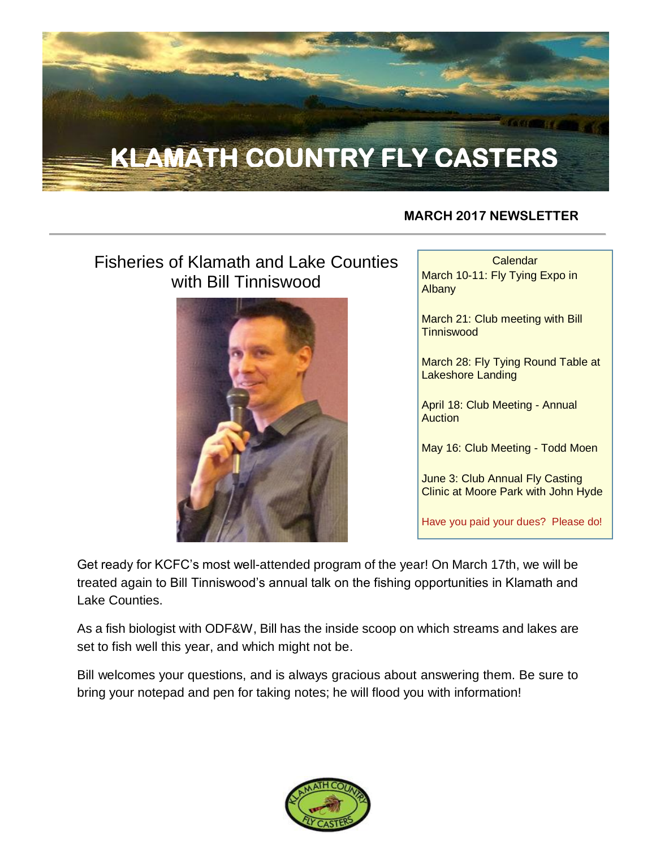

#### **MARCH 2017 NEWSLETTER**

# Fisheries of Klamath and Lake Counties with Bill Tinniswood



**Calendar** March 10-11: Fly Tying Expo in Albany

March 21: Club meeting with Bill **Tinniswood** 

March 28: Fly Tying Round Table at Lakeshore Landing

April 18: Club Meeting - Annual **Auction** 

May 16: Club Meeting - Todd Moen

**June 3: Club Annual Fly Casting** Clinic at Moore Park with John Hyde

Have you paid your dues? Please do!

Get ready for KCFC's most well-attended program of the year! On March 17th, we will be treated again to Bill Tinniswood's annual talk on the fishing opportunities in Klamath and Lake Counties.

As a fish biologist with ODF&W, Bill has the inside scoop on which streams and lakes are set to fish well this year, and which might not be.

Bill welcomes your questions, and is always gracious about answering them. Be sure to bring your notepad and pen for taking notes; he will flood you with information!

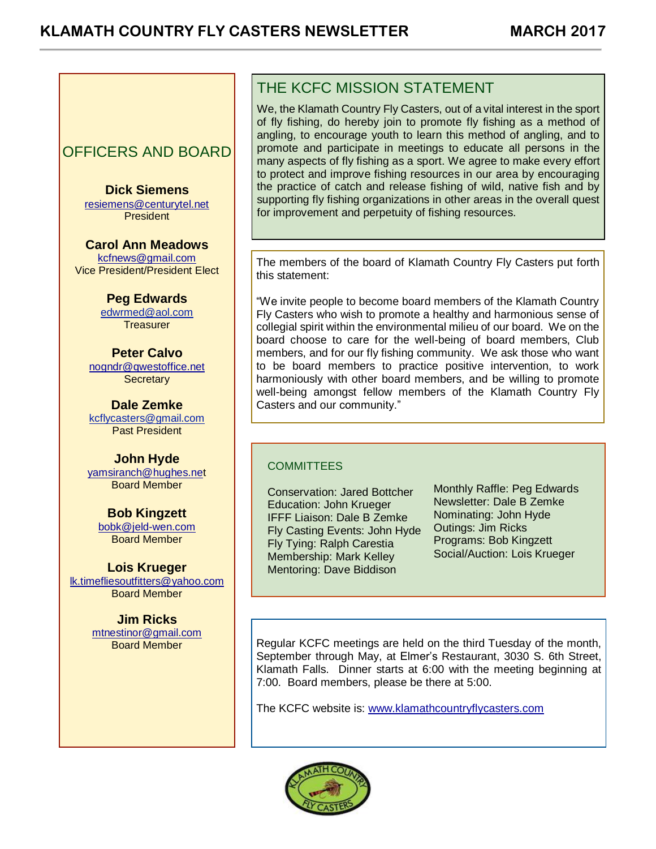## OFFICERS AND BOARD

**Dick Siemens** [resiemens@centurytel.net](mailto:resiemens@centurytel.net) President

**Carol Ann Meadows** [kcfnews@gmail.com](mailto:kcfnews@gmail.com) Vice President/President Elect

> **Peg Edwards** [edwrmed@aol.com](mailto:edwrmed@aol.com) **Treasurer**

**Peter Calvo** [nogndr@qwestoffice.net](mailto:nogndr@qwestoffice.net) **Secretary** 

**Dale Zemke** [kcflycasters@gmail.com](mailto:kcflycasters@gmail.com) Past President

**John Hyde** [yamsiranch@hughes.net](mailto:yamsiranch@hughes.ne) Board Member

**Bob Kingzett** [bobk@jeld-wen.com](mailto:bobk@jeld-wen.com) Board Member

**Lois Krueger** [lk.timefliesoutfitters@yahoo.com](mailto:lk.timefliesoutfitters@yahoo.com) Board Member

> **Jim Ricks** [mtnestinor@gmail.com](mailto:mtnestinor@gmail.com) Board Member

## THE KCFC MISSION STATEMENT

We, the Klamath Country Fly Casters, out of a vital interest in the sport of fly fishing, do hereby join to promote fly fishing as a method of angling, to encourage youth to learn this method of angling, and to promote and participate in meetings to educate all persons in the many aspects of fly fishing as a sport. We agree to make every effort to protect and improve fishing resources in our area by encouraging the practice of catch and release fishing of wild, native fish and by supporting fly fishing organizations in other areas in the overall quest for improvement and perpetuity of fishing resources.

The members of the board of Klamath Country Fly Casters put forth this statement:

"We invite people to become board members of the Klamath Country Fly Casters who wish to promote a healthy and harmonious sense of collegial spirit within the environmental milieu of our board. We on the board choose to care for the well-being of board members, Club members, and for our fly fishing community. We ask those who want to be board members to practice positive intervention, to work harmoniously with other board members, and be willing to promote well-being amongst fellow members of the Klamath Country Fly Casters and our community."

#### **COMMITTEES**

Conservation: Jared Bottcher Education: John Krueger IFFF Liaison: Dale B Zemke Fly Casting Events: John Hyde Fly Tying: Ralph Carestia Membership: Mark Kelley Mentoring: Dave Biddison

Monthly Raffle: Peg Edwards Newsletter: Dale B Zemke Nominating: John Hyde Outings: Jim Ricks Programs: Bob Kingzett Social/Auction: Lois Krueger

Regular KCFC meetings are held on the third Tuesday of the month, September through May, at Elmer's Restaurant, 3030 S. 6th Street, Klamath Falls. Dinner starts at 6:00 with the meeting beginning at 7:00. Board members, please be there at 5:00.

The KCFC website is: [www.klamathcountryflycasters.com](http://www.klamathcountryflycasters.com/)

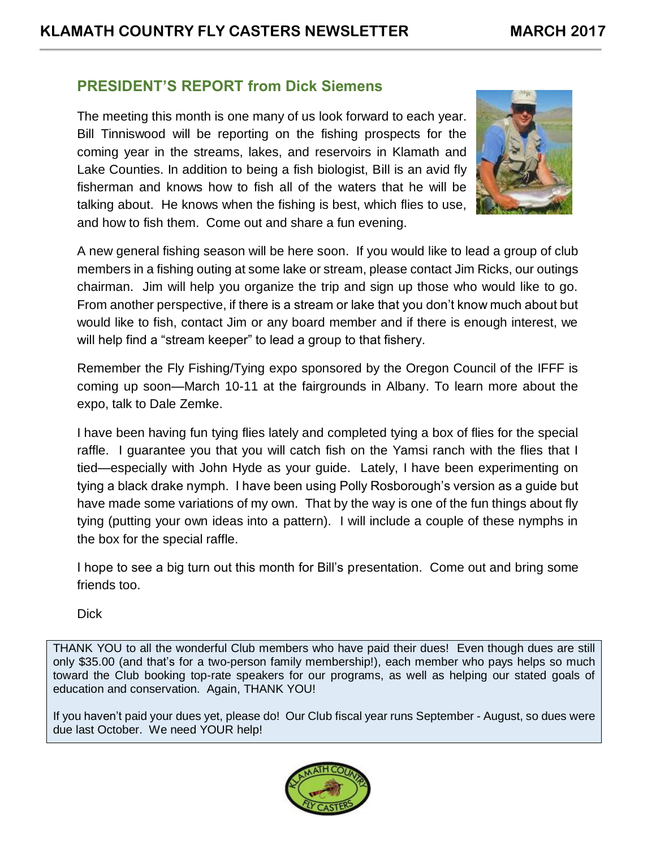#### **PRESIDENT'S REPORT from Dick Siemens**

The meeting this month is one many of us look forward to each year. Bill Tinniswood will be reporting on the fishing prospects for the coming year in the streams, lakes, and reservoirs in Klamath and Lake Counties. In addition to being a fish biologist, Bill is an avid fly fisherman and knows how to fish all of the waters that he will be talking about. He knows when the fishing is best, which flies to use, and how to fish them. Come out and share a fun evening.



A new general fishing season will be here soon. If you would like to lead a group of club members in a fishing outing at some lake or stream, please contact Jim Ricks, our outings chairman. Jim will help you organize the trip and sign up those who would like to go. From another perspective, if there is a stream or lake that you don't know much about but would like to fish, contact Jim or any board member and if there is enough interest, we will help find a "stream keeper" to lead a group to that fishery.

Remember the Fly Fishing/Tying expo sponsored by the Oregon Council of the IFFF is coming up soon—March 10-11 at the fairgrounds in Albany. To learn more about the expo, talk to Dale Zemke.

I have been having fun tying flies lately and completed tying a box of flies for the special raffle. I guarantee you that you will catch fish on the Yamsi ranch with the flies that I tied—especially with John Hyde as your guide. Lately, I have been experimenting on tying a black drake nymph. I have been using Polly Rosborough's version as a guide but have made some variations of my own. That by the way is one of the fun things about fly tying (putting your own ideas into a pattern). I will include a couple of these nymphs in the box for the special raffle.

I hope to see a big turn out this month for Bill's presentation. Come out and bring some friends too.

**Dick** 

THANK YOU to all the wonderful Club members who have paid their dues! Even though dues are still only \$35.00 (and that's for a two-person family membership!), each member who pays helps so much toward the Club booking top-rate speakers for our programs, as well as helping our stated goals of education and conservation. Again, THANK YOU!

If you haven't paid your dues yet, please do! Our Club fiscal year runs September - August, so dues were due last October. We need YOUR help!

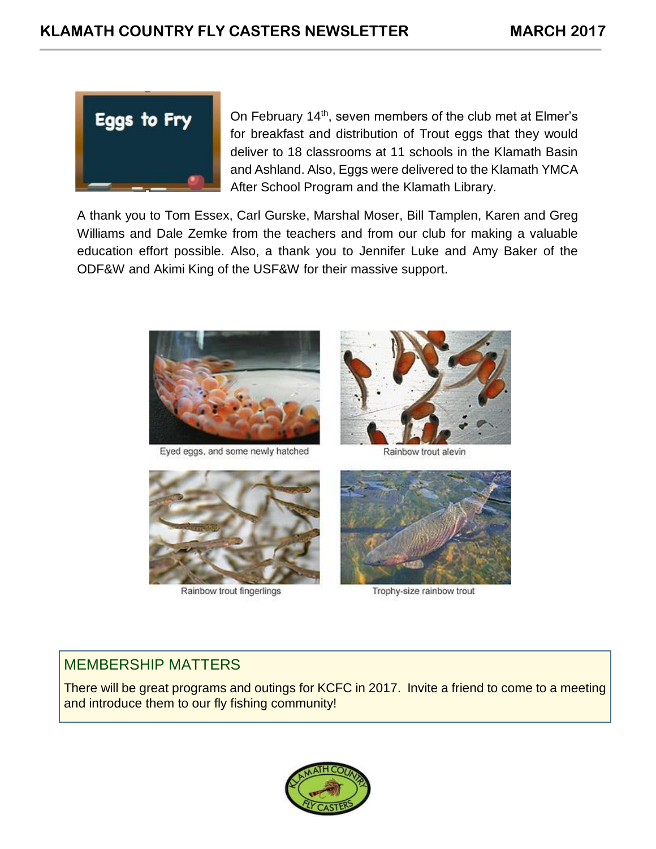

On February 14<sup>th</sup>, seven members of the club met at Elmer's for breakfast and distribution of Trout eggs that they would deliver to 18 classrooms at 11 schools in the Klamath Basin and Ashland. Also, Eggs were delivered to the Klamath YMCA After School Program and the Klamath Library.

A thank you to Tom Essex, Carl Gurske, Marshal Moser, Bill Tamplen, Karen and Greg Williams and Dale Zemke from the teachers and from our club for making a valuable education effort possible. Also, a thank you to Jennifer Luke and Amy Baker of the ODF&W and Akimi King of the USF&W for their massive support.



Eyed eggs, and some newly hatched



Rainbow trout alevin



Rainbow trout fingerlings



Trophy-size rainbow trout

## MEMBERSHIP MATTERS

There will be great programs and outings for KCFC in 2017. Invite a friend to come to a meeting and introduce them to our fly fishing community!

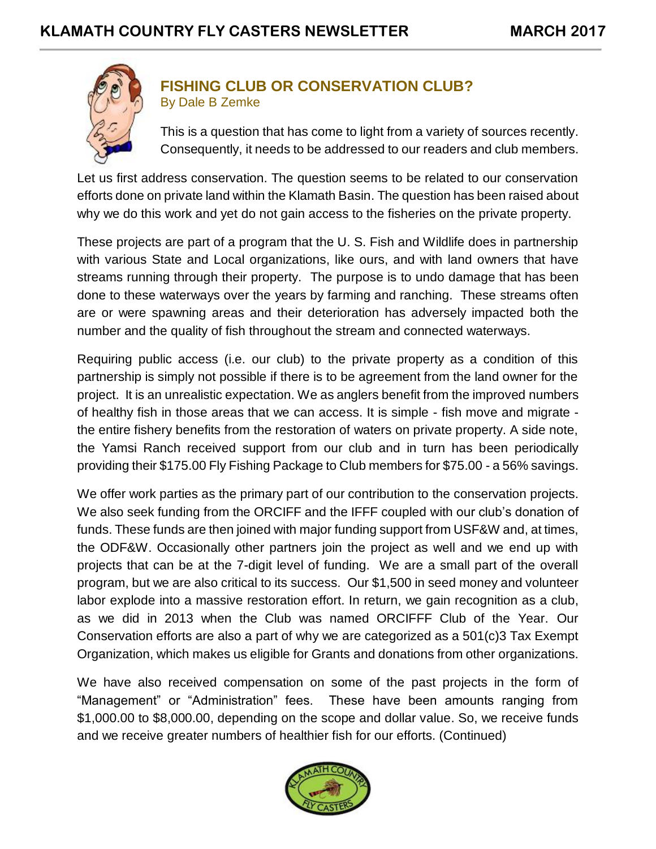

#### **FISHING CLUB OR CONSERVATION CLUB?** By Dale B Zemke

This is a question that has come to light from a variety of sources recently. Consequently, it needs to be addressed to our readers and club members.

Let us first address conservation. The question seems to be related to our conservation efforts done on private land within the Klamath Basin. The question has been raised about why we do this work and yet do not gain access to the fisheries on the private property.

These projects are part of a program that the U. S. Fish and Wildlife does in partnership with various State and Local organizations, like ours, and with land owners that have streams running through their property. The purpose is to undo damage that has been done to these waterways over the years by farming and ranching. These streams often are or were spawning areas and their deterioration has adversely impacted both the number and the quality of fish throughout the stream and connected waterways.

Requiring public access (i.e. our club) to the private property as a condition of this partnership is simply not possible if there is to be agreement from the land owner for the project. It is an unrealistic expectation. We as anglers benefit from the improved numbers of healthy fish in those areas that we can access. It is simple - fish move and migrate the entire fishery benefits from the restoration of waters on private property. A side note, the Yamsi Ranch received support from our club and in turn has been periodically providing their \$175.00 Fly Fishing Package to Club members for \$75.00 - a 56% savings.

We offer work parties as the primary part of our contribution to the conservation projects. We also seek funding from the ORCIFF and the IFFF coupled with our club's donation of funds. These funds are then joined with major funding support from USF&W and, at times, the ODF&W. Occasionally other partners join the project as well and we end up with projects that can be at the 7-digit level of funding. We are a small part of the overall program, but we are also critical to its success. Our \$1,500 in seed money and volunteer labor explode into a massive restoration effort. In return, we gain recognition as a club, as we did in 2013 when the Club was named ORCIFFF Club of the Year. Our Conservation efforts are also a part of why we are categorized as a 501(c)3 Tax Exempt Organization, which makes us eligible for Grants and donations from other organizations.

We have also received compensation on some of the past projects in the form of "Management" or "Administration" fees. These have been amounts ranging from \$1,000.00 to \$8,000.00, depending on the scope and dollar value. So, we receive funds and we receive greater numbers of healthier fish for our efforts. (Continued)

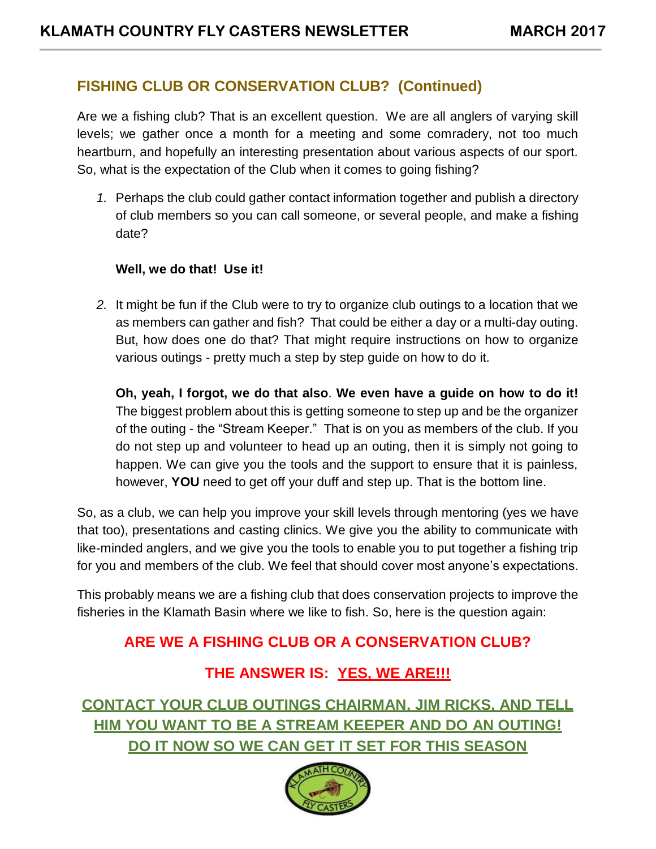## **FISHING CLUB OR CONSERVATION CLUB? (Continued)**

Are we a fishing club? That is an excellent question. We are all anglers of varying skill levels; we gather once a month for a meeting and some comradery, not too much heartburn, and hopefully an interesting presentation about various aspects of our sport. So, what is the expectation of the Club when it comes to going fishing?

*1.* Perhaps the club could gather contact information together and publish a directory of club members so you can call someone, or several people, and make a fishing date?

#### **Well, we do that! Use it!**

*2.* It might be fun if the Club were to try to organize club outings to a location that we as members can gather and fish? That could be either a day or a multi-day outing. But, how does one do that? That might require instructions on how to organize various outings - pretty much a step by step guide on how to do it.

**Oh, yeah, I forgot, we do that also**. **We even have a guide on how to do it!**  The biggest problem about this is getting someone to step up and be the organizer of the outing - the "Stream Keeper." That is on you as members of the club. If you do not step up and volunteer to head up an outing, then it is simply not going to happen. We can give you the tools and the support to ensure that it is painless, however, **YOU** need to get off your duff and step up. That is the bottom line.

So, as a club, we can help you improve your skill levels through mentoring (yes we have that too), presentations and casting clinics. We give you the ability to communicate with like-minded anglers, and we give you the tools to enable you to put together a fishing trip for you and members of the club. We feel that should cover most anyone's expectations.

This probably means we are a fishing club that does conservation projects to improve the fisheries in the Klamath Basin where we like to fish. So, here is the question again:

## **ARE WE A FISHING CLUB OR A CONSERVATION CLUB?**

## **THE ANSWER IS: YES, WE ARE!!!**

**CONTACT YOUR CLUB OUTINGS CHAIRMAN, JIM RICKS, AND TELL HIM YOU WANT TO BE A STREAM KEEPER AND DO AN OUTING! DO IT NOW SO WE CAN GET IT SET FOR THIS SEASON**

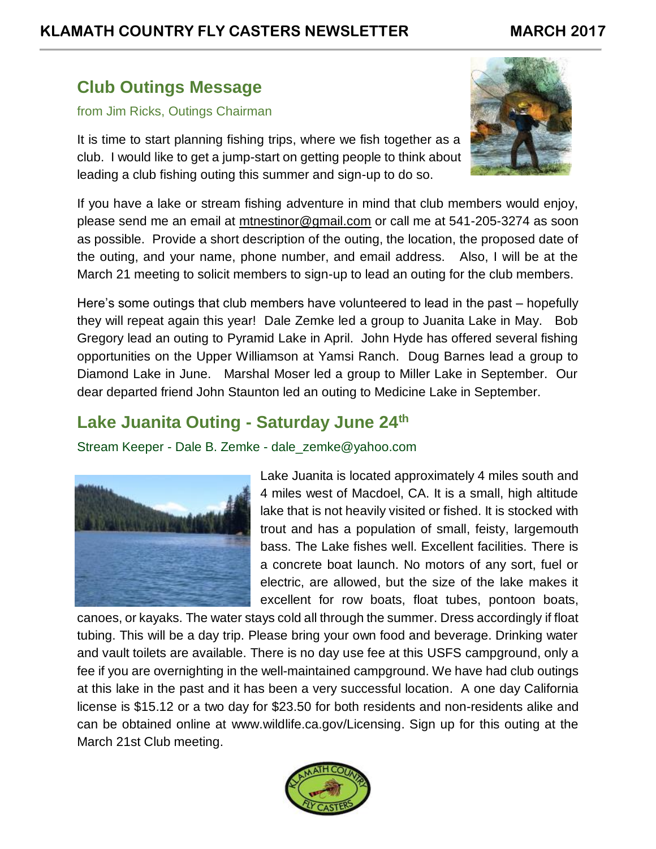# **Club Outings Message**

#### from Jim Ricks, Outings Chairman

It is time to start planning fishing trips, where we fish together as a club. I would like to get a jump-start on getting people to think about leading a club fishing outing this summer and sign-up to do so.



If you have a lake or stream fishing adventure in mind that club members would enjoy, please send me an email at [mtnestinor@gmail.com](mailto:mtnestinor@gmail.com) or call me at 541-205-3274 as soon as possible. Provide a short description of the outing, the location, the proposed date of the outing, and your name, phone number, and email address. Also, I will be at the March 21 meeting to solicit members to sign-up to lead an outing for the club members.

Here's some outings that club members have volunteered to lead in the past – hopefully they will repeat again this year! Dale Zemke led a group to Juanita Lake in May. Bob Gregory lead an outing to Pyramid Lake in April. John Hyde has offered several fishing opportunities on the Upper Williamson at Yamsi Ranch. Doug Barnes lead a group to Diamond Lake in June. Marshal Moser led a group to Miller Lake in September. Our dear departed friend John Staunton led an outing to Medicine Lake in September.

# **Lake Juanita Outing - Saturday June 24th**

Stream Keeper - Dale B. Zemke - dale\_zemke@yahoo.com



Lake Juanita is located approximately 4 miles south and 4 miles west of Macdoel, CA. It is a small, high altitude lake that is not heavily visited or fished. It is stocked with trout and has a population of small, feisty, largemouth bass. The Lake fishes well. Excellent facilities. There is a concrete boat launch. No motors of any sort, fuel or electric, are allowed, but the size of the lake makes it excellent for row boats, float tubes, pontoon boats,

canoes, or kayaks. The water stays cold all through the summer. Dress accordingly if float tubing. This will be a day trip. Please bring your own food and beverage. Drinking water and vault toilets are available. There is no day use fee at this USFS campground, only a fee if you are overnighting in the well-maintained campground. We have had club outings at this lake in the past and it has been a very successful location. A one day California license is \$15.12 or a two day for \$23.50 for both residents and non-residents alike and can be obtained online at [www.wildlife.ca.gov/Licensing.](http://www.wildlife.ca.gov/Licensing) Sign up for this outing at the March 21st Club meeting.

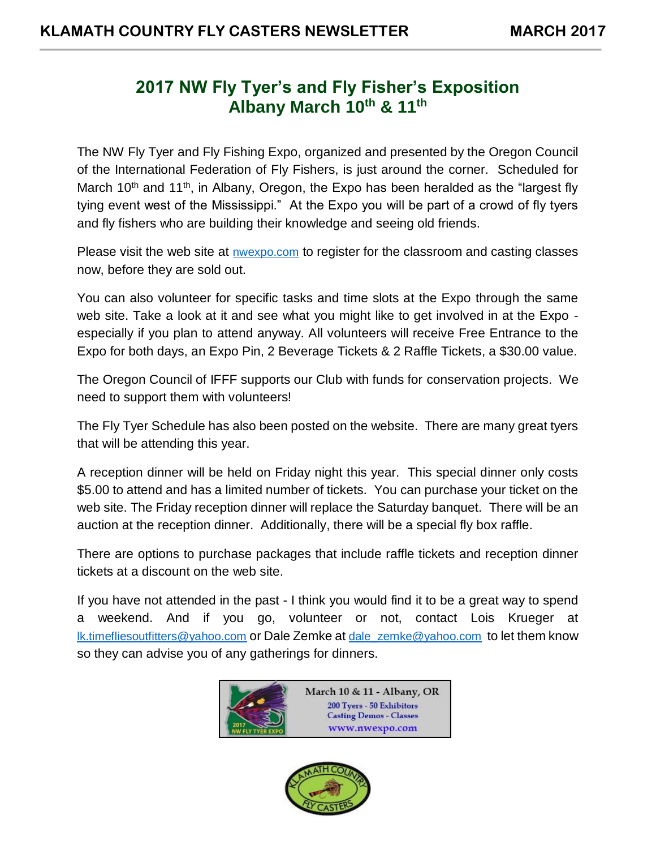# **2017 NW Fly Tyer's and Fly Fisher's Exposition Albany March 10th & 11th**

The NW Fly Tyer and Fly Fishing Expo, organized and presented by the Oregon Council of the International Federation of Fly Fishers, is just around the corner. Scheduled for March 10<sup>th</sup> and 11<sup>th</sup>, in Albany, Oregon, the Expo has been heralded as the "largest fly tying event west of the Mississippi." At the Expo you will be part of a crowd of fly tyers and fly fishers who are building their knowledge and seeing old friends.

Please visit the web site at [nwexpo.com](http://nwexpo.com/) to register for the classroom and casting classes now, before they are sold out.

You can also volunteer for specific tasks and time slots at the Expo through the same web site. Take a look at it and see what you might like to get involved in at the Expo especially if you plan to attend anyway. All volunteers will receive Free Entrance to the Expo for both days, an Expo Pin, 2 Beverage Tickets & 2 Raffle Tickets, a \$30.00 value.

The Oregon Council of IFFF supports our Club with funds for conservation projects. We need to support them with volunteers!

The Fly Tyer Schedule has also been posted on the website. There are many great tyers that will be attending this year.

A reception dinner will be held on Friday night this year. This special dinner only costs \$5.00 to attend and has a limited number of tickets. You can purchase your ticket on the web site. The Friday reception dinner will replace the Saturday banquet. There will be an auction at the reception dinner. Additionally, there will be a special fly box raffle.

There are options to purchase packages that include raffle tickets and reception dinner tickets at a discount on the web site.

If you have not attended in the past - I think you would find it to be a great way to spend a weekend. And if you go, volunteer or not, contact Lois Krueger at [lk.timefliesoutfitters@yahoo.com](mailto:lk.timefliesoutfitters@yahoo.com) or Dale Zemke at [dale\\_zemke@yahoo.com](mailto:dale_zemke@yahoo.com) to let them know so they can advise you of any gatherings for dinners.



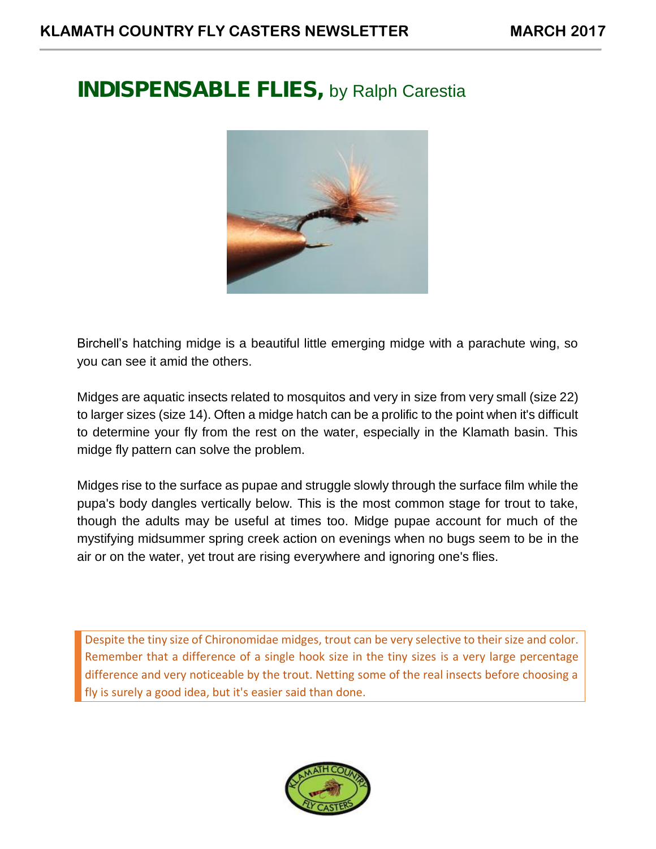# **INDISPENSABLE FLIES,** by Ralph Carestia



Birchell's hatching midge is a beautiful little emerging midge with a parachute wing, so you can see it amid the others.

Midges are aquatic insects related to mosquitos and very in size from very small (size 22) to larger sizes (size 14). Often a midge hatch can be a prolific to the point when it's difficult to determine your fly from the rest on the water, especially in the Klamath basin. This midge fly pattern can solve the problem.

Midges rise to the surface as pupae and struggle slowly through the surface film while the pupa's body dangles vertically below. This is the most common stage for trout to take, though the adults may be useful at times too. Midge pupae account for much of the mystifying midsummer spring creek action on evenings when no bugs seem to be in the air or on the water, yet trout are rising everywhere and ignoring one's flies.

Despite the tiny size of Chironomidae midges, trout can be very selective to their size and color. Remember that a difference of a single hook size in the tiny sizes is a very large percentage difference and very noticeable by the trout. Netting some of the real insects before choosing a fly is surely a good idea, but it's easier said than done.

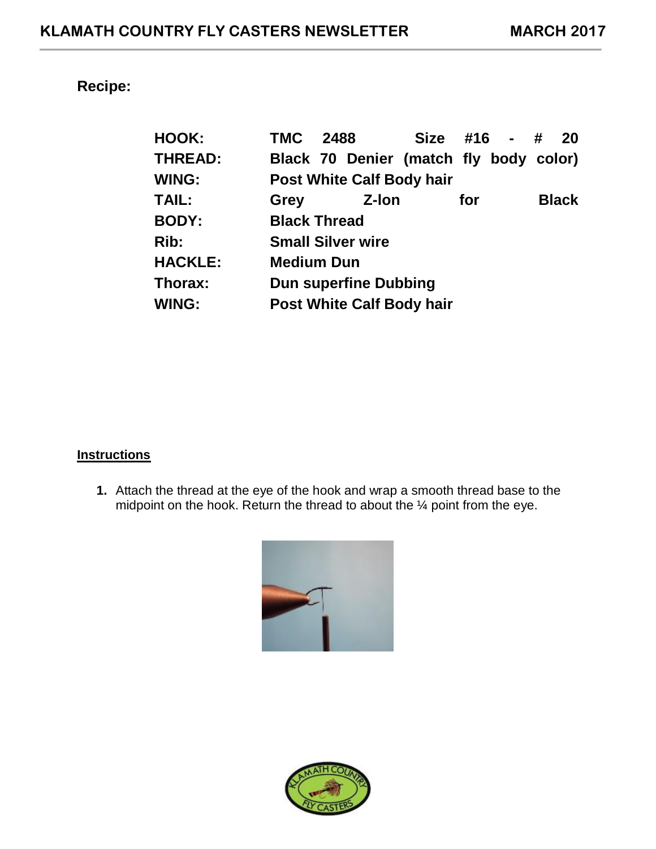# **Recipe:**

| <b>HOOK:</b>   | <b>TMC 2488</b>                  |  |                                  | Size #16 - #                           |     |  |  | -20          |
|----------------|----------------------------------|--|----------------------------------|----------------------------------------|-----|--|--|--------------|
| <b>THREAD:</b> |                                  |  |                                  | Black 70 Denier (match fly body color) |     |  |  |              |
| <b>WING:</b>   |                                  |  | <b>Post White Calf Body hair</b> |                                        |     |  |  |              |
| <b>TAIL:</b>   | Grey                             |  | Z-Ion                            |                                        | for |  |  | <b>Black</b> |
| <b>BODY:</b>   | <b>Black Thread</b>              |  |                                  |                                        |     |  |  |              |
| Rib:           | <b>Small Silver wire</b>         |  |                                  |                                        |     |  |  |              |
| <b>HACKLE:</b> | <b>Medium Dun</b>                |  |                                  |                                        |     |  |  |              |
| Thorax:        | <b>Dun superfine Dubbing</b>     |  |                                  |                                        |     |  |  |              |
| <b>WING:</b>   | <b>Post White Calf Body hair</b> |  |                                  |                                        |     |  |  |              |

#### **Instructions**

**1.** Attach the thread at the eye of the hook and wrap a smooth thread base to the midpoint on the hook. Return the thread to about the ¼ point from the eye.



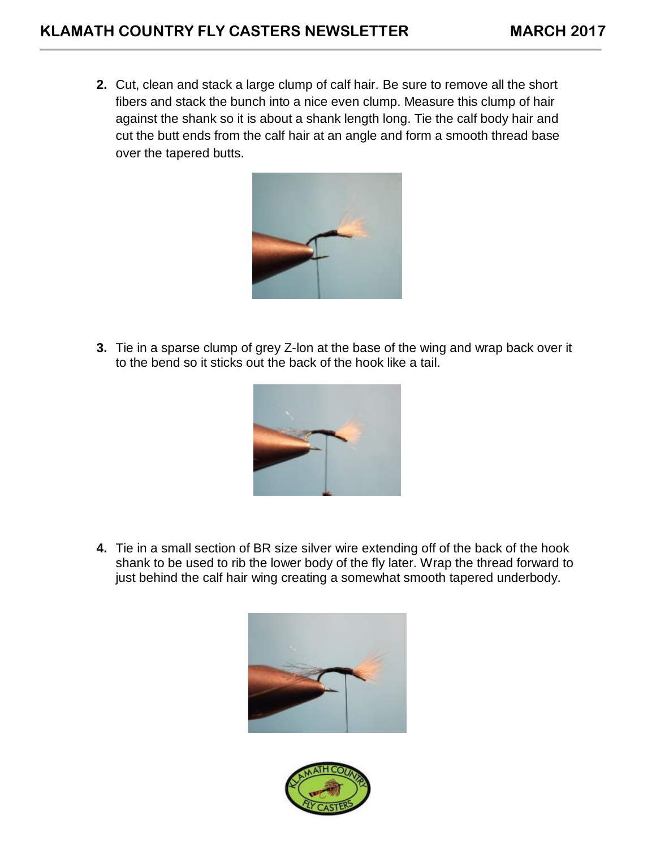**2.** Cut, clean and stack a large clump of calf hair. Be sure to remove all the short fibers and stack the bunch into a nice even clump. Measure this clump of hair against the shank so it is about a shank length long. Tie the calf body hair and cut the butt ends from the calf hair at an angle and form a smooth thread base over the tapered butts.



**3.** Tie in a sparse clump of grey Z-lon at the base of the wing and wrap back over it to the bend so it sticks out the back of the hook like a tail.



**4.** Tie in a small section of BR size silver wire extending off of the back of the hook shank to be used to rib the lower body of the fly later. Wrap the thread forward to just behind the calf hair wing creating a somewhat smooth tapered underbody.



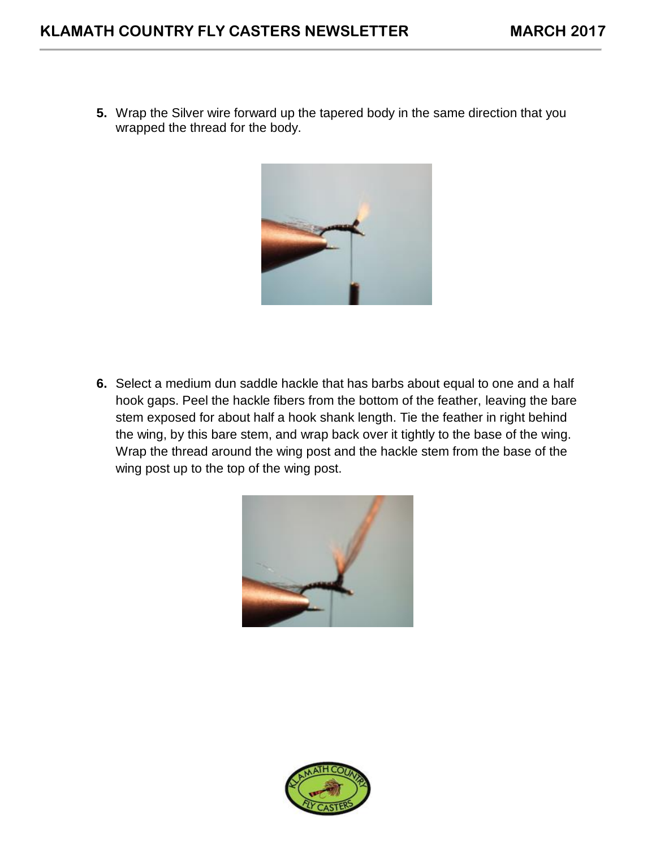**5.** Wrap the Silver wire forward up the tapered body in the same direction that you wrapped the thread for the body.



**6.** Select a medium dun saddle hackle that has barbs about equal to one and a half hook gaps. Peel the hackle fibers from the bottom of the feather, leaving the bare stem exposed for about half a hook shank length. Tie the feather in right behind the wing, by this bare stem, and wrap back over it tightly to the base of the wing. Wrap the thread around the wing post and the hackle stem from the base of the wing post up to the top of the wing post.



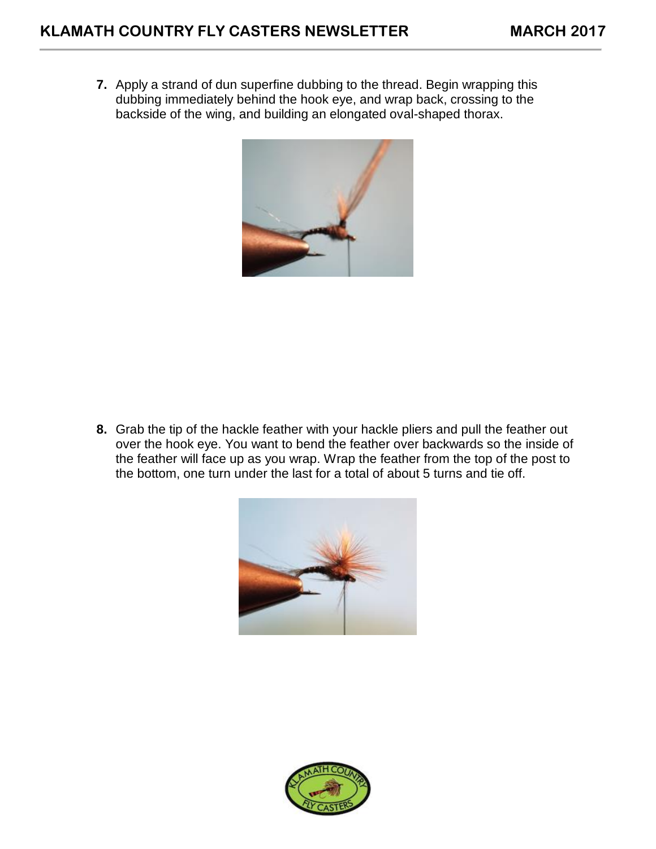**7.** Apply a strand of dun superfine dubbing to the thread. Begin wrapping this dubbing immediately behind the hook eye, and wrap back, crossing to the backside of the wing, and building an elongated oval-shaped thorax.



**8.** Grab the tip of the hackle feather with your hackle pliers and pull the feather out over the hook eye. You want to bend the feather over backwards so the inside of the feather will face up as you wrap. Wrap the feather from the top of the post to the bottom, one turn under the last for a total of about 5 turns and tie off.



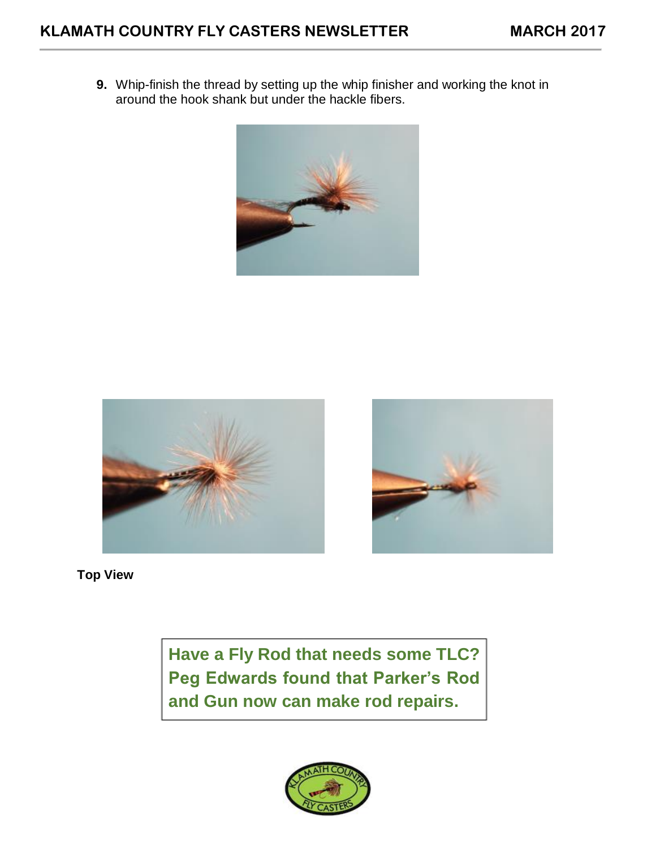**9.** Whip-finish the thread by setting up the whip finisher and working the knot in around the hook shank but under the hackle fibers.







**Top View**

**Have a Fly Rod that needs some TLC? Peg Edwards found that Parker's Rod and Gun now can make rod repairs.**

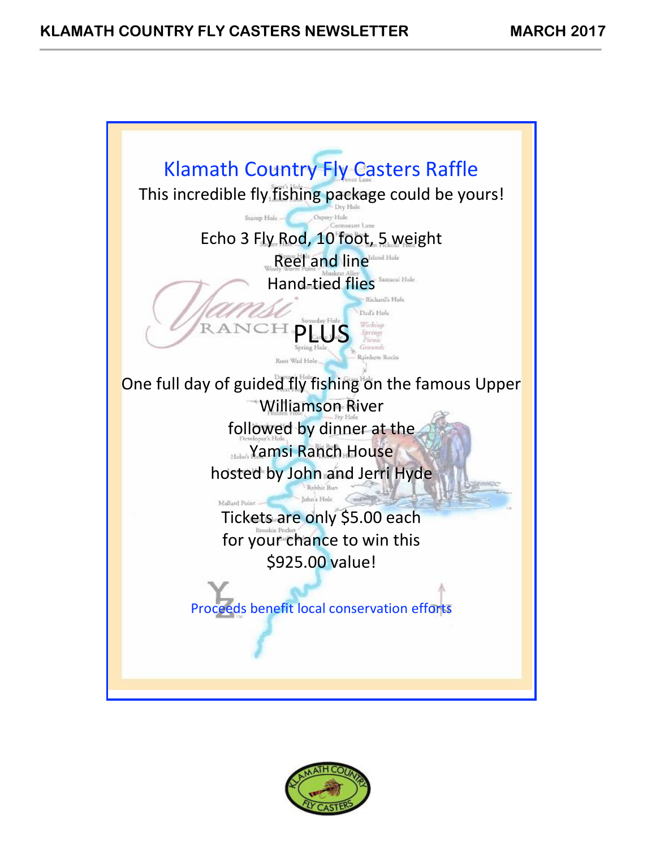